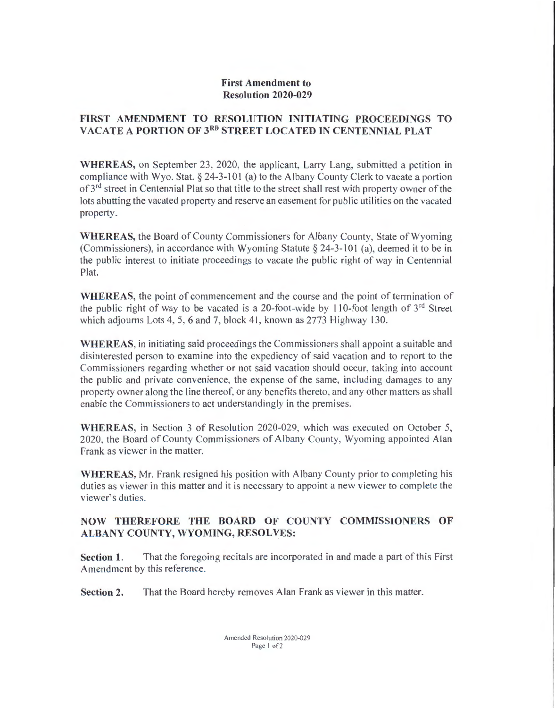#### First Amendment to Resolution 2020-029

### FIRST AMENDMENT TO RESOLUTION INITIATING PROCEEDINGS TO VACATE A PORTION OF 3RD STREET LOCATED IN CENTENNIAL PLAT

WHEREAS, on September 23, 2020, the applicant, Larry Lang, submitted a petition in compliance with Wyo. Stat.§ 24-3-101 (a) to the Albany County Clerk to vacate a portion of 3<sup>rd</sup> street in Centennial Plat so that title to the street shall rest with property owner of the lots abutting the vacated property and reserve an easement for public utilities on the vacated property.

WHEREAS, the Board of County Commissioners for Albany County, State of Wyoming (Commissioners), in accordance with Wyoming Statute  $\S$  24-3-101 (a), deemed it to be in the public interest to initiate proceedings to vacate the public right of way in Centennial Plat.

WHEREAS, the point of commencement and the course and the point of termination of the public right of way to be vacated is a 20-foot-wide by 110-foot length of  $3<sup>rd</sup>$  Street which adjourns Lots 4, 5, 6 and 7, block 41, known as 2773 Highway 130.

WHEREAS, in initiating said proceedings the Commissioners shall appoint a suitable and disinterested person to examine into the expediency of said vacation and to report to the Commissioners regarding whether or not said vacation should occur, taking into account the public and private convenience, the expense of the same, including damages to any property owner along the line thereof, or any benefits thereto, and any other matters as shall enable the Commissioners to act understandingly in the premises.

WHEREAS, in Section 3 of Resolution 2020-029, which was executed on October 5, 2020, the Board of County Commissioners of Albany County, Wyoming appointed Alan Frank as viewer in the matter.

WHEREAS, Mr. Frank resigned his position with Albany County prior to completing his duties as viewer in this matter and it is necessary to appoint a new viewer to complete the viewer's duties.

## NOW THEREFORE THE BOARD OF COUNTY COMMISSIONERS OF ALBANY COUNTY, WYOMING, RESOLVES:

Section 1. That the foregoing recitals are incorporated in and made a part of this First Amendment by this reference.

Section 2. That the Board hereby removes Alan Frank as viewer in this matter.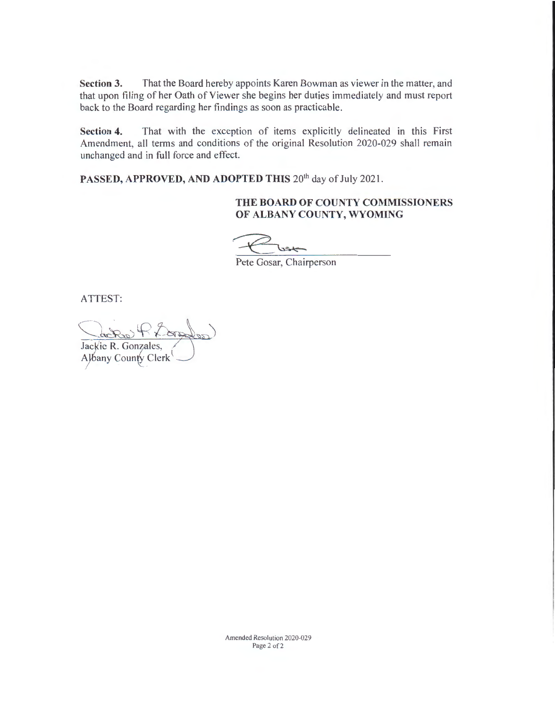**Section** 3. That the Board hereby appoints Karen Bowman as viewer in the matter, and that upon filing of her Oath of Viewer she begins her duties immediately and must report back to the Board regarding her findings as soon as practicable.

**Section 4.** That with the exception of items explicitly delineated in this First Amendment, all terms and conditions of the original Resolution 2020-029 shall remain unchanged and in full force and effect.

PASSED, APPROVED, AND ADOPTED THIS 20<sup>th</sup> day of July 2021.

#### **THE BOARD OF COUNTY COMMISSIONERS OF ALBANY COUNTY, WYOMING**

Pete Gosar, Chairperson

ATTEST:

Cache Rho. Jackie R. Gonzales, /

AJbany County Clerk`  $\overline{1}$ 

Amended Resolution 2020-029 Page 2 of 2